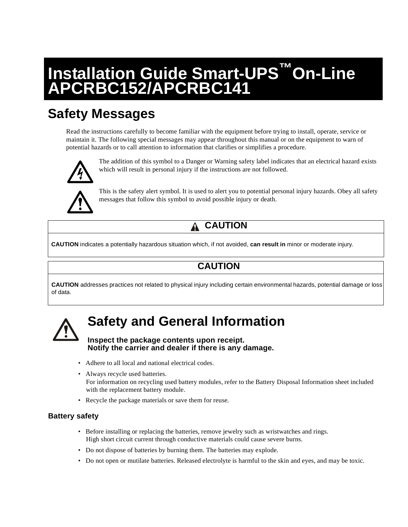# **Installation Guide Smart-UPS™On-Line APCRBC152/APCRBC141**

## **Safety Messages**

Read the instructions carefully to become familiar with the equipment before trying to install, operate, service or maintain it. The following special messages may appear throughout this manual or on the equipment to warn of potential hazards or to call attention to information that clarifies or simplifies a procedure.



The addition of this symbol to a Danger or Warning safety label indicates that an electrical hazard exists which will result in personal injury if the instructions are not followed.



This is the safety alert symbol. It is used to alert you to potential personal injury hazards. Obey all safety messages that follow this symbol to avoid possible injury or death.

#### **CAUTION** Α

**CAUTION** indicates a potentially hazardous situation which, if not avoided, **can result in** minor or moderate injury.

### **CAUTION**

**CAUTION** addresses practices not related to physical injury including certain environmental hazards, potential damage or loss of data.



## **Safety and General Information**

#### **Inspect the package contents upon receipt. Notify the carrier and dealer if there is any damage.**

- Adhere to all local and national electrical codes.
- Always recycle used batteries. For information on recycling used battery modules, refer to the Battery Disposal Information sheet included with the replacement battery module.
- Recycle the package materials or save them for reuse.

### **Battery safety**

- Before installing or replacing the batteries, remove jewelry such as wristwatches and rings. High short circuit current through conductive materials could cause severe burns.
- Do not dispose of batteries by burning them. The batteries may explode.
- Do not open or mutilate batteries. Released electrolyte is harmful to the skin and eyes, and may be toxic.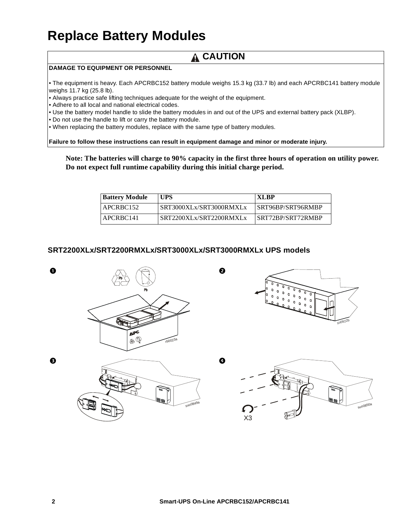## **Replace Battery Modules**

### **A CAUTION**

#### **DAMAGE TO EQUIPMENT OR PERSONNEL**

• The equipment is heavy. Each APCRBC152 battery module weighs 15.3 kg (33.7 lb) and each APCRBC141 battery module weighs 11.7 kg (25.8 lb).

• Always practice safe lifting techniques adequate for the weight of the equipment.

• Adhere to all local and national electrical codes.

• Use the battery model handle to slide the battery modules in and out of the UPS and external battery pack (XLBP).

• Do not use the handle to lift or carry the battery module.

• When replacing the battery modules, replace with the same type of battery modules.

**Failure to follow these instructions can result in equipment damage and minor or moderate injury.**

**Note: The batteries will charge to 90% capacity in the first three hours of operation on utility power. Do not expect full runtime capability during this initial charge period.**

| <b>Battery Module</b> | <b>UPS</b>              | <b>XLBP</b>       |
|-----------------------|-------------------------|-------------------|
| APCRBC152             | SRT3000XLx/SRT3000RMXLx | SRT96BP/SRT96RMBP |
| APCRBC141             | SRT2200XLx/SRT2200RMXLx | SRT72BP/SRT72RMBP |

#### **SRT2200XLx/SRT2200RMXLx/SRT3000XLx/SRT3000RMXLx UPS models**

 $500849a$ 





X3 suo0850a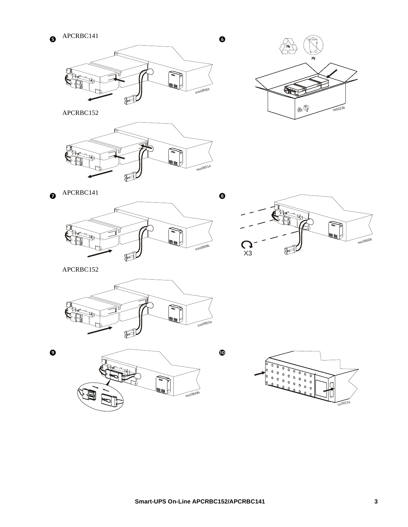



 $\circledast$ rb0023b

APCRBC152



 $\bullet$  APCRBC141





APCRBC152

![](_page_2_Figure_9.jpeg)

![](_page_2_Figure_10.jpeg)

 $s<sub>u</sub>$ 0922a

 $\odot$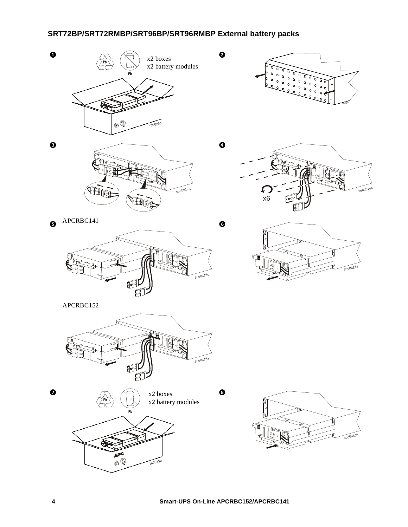### **SRT72BP/SRT72RMBP/SRT96BP/SRT96RMBP External battery packs**

![](_page_3_Picture_1.jpeg)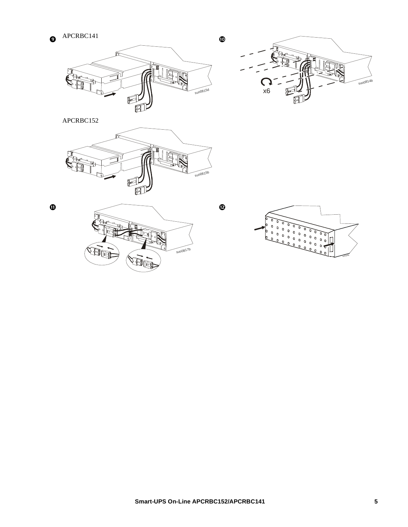![](_page_4_Figure_1.jpeg)

TB suo0814b  $\mathsf{C}$  $x6$ 

 $\pmb{\mathbb{O}}$ 

 $\mathbf{\Phi}$ 

APCRBC152

![](_page_4_Figure_4.jpeg)

ò

 $\bf \Phi$ 

![](_page_4_Figure_7.jpeg)